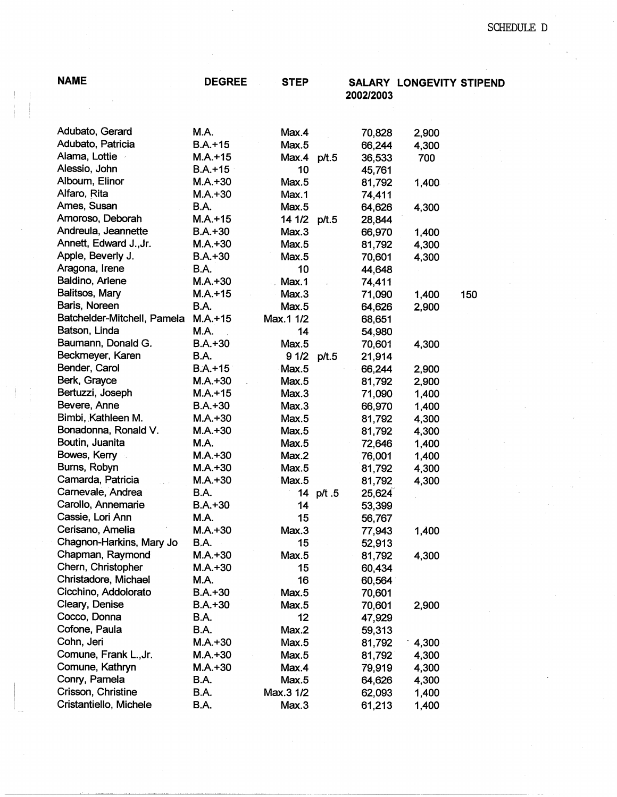$\bar{\gamma}$ 

| <b>NAME</b>                 | <b>DEGREE</b> | <b>STEP</b> |           | 2002/2003 | SALARY LONGEVITY STIPEND |     |
|-----------------------------|---------------|-------------|-----------|-----------|--------------------------|-----|
|                             |               |             |           |           |                          |     |
| Adubato, Gerard             | M.A.          | Max.4       |           | 70,828    | 2,900                    |     |
| Adubato, Patricia           | $B.A.+15$     | Max.5       |           | 66,244    | 4,300                    |     |
| Alama, Lottie               | $M.A.+15$     | Max.4 p/t.5 |           | 36,533    | 700                      |     |
| Alessio, John               | $B.A.+15$     | 10          |           | 45,761    |                          |     |
| Alboum, Elinor              | $M.A.+30$     | Max.5       |           | 81,792    | 1,400                    |     |
| Alfaro, Rita                | $M.A.+30$     | Max.1       |           | 74,411    |                          |     |
| Ames, Susan                 | B.A.          | Max.5       |           | 64,626    | 4,300                    |     |
| Amoroso, Deborah            | $M.A. + 15$   | 14 1/2      | p/t.5     | 28,844    |                          |     |
| Andreula, Jeannette         | $B.A.+30$     | Max.3       |           | 66,970    | 1,400                    |     |
| Annett, Edward J., Jr.      | $M.A.+30$     | Max.5       |           | 81,792    | 4,300                    |     |
| Apple, Beverly J.           | $B.A.+30$     | Max.5       |           | 70,601    | 4,300                    |     |
| Aragona, Irene              | B.A.          | 10          |           | 44,648    |                          |     |
| Baldino, Arlene             | $M.A.+30$     | Max.1       |           | 74,411    |                          |     |
| Balitsos, Mary              | $M.A.+15$     | Max.3       |           | 71,090    | 1,400                    | 150 |
| Baris, Noreen               | <b>B.A.</b>   | Max.5       |           | 64,626    | 2,900                    |     |
| Batchelder-Mitchell, Pamela | $M.A.+15$     | Max.1 1/2   |           | 68,651    |                          |     |
| Batson, Linda               | M.A.          | 14          |           | 54,980    |                          |     |
| Baumann, Donald G.          | $B.A.+30$     | Max.5       |           | 70,601    | 4,300                    |     |
| Beckmeyer, Karen            | <b>B.A.</b>   | 9 1/2 p/t.5 |           | 21,914    |                          |     |
| Bender, Carol               | $B.A.+15$     | Max.5       |           | 66,244    | 2,900                    |     |
| Berk, Grayce                | $M.A.+30$     | Max.5       |           | 81,792    | 2,900                    |     |
| Bertuzzi, Joseph            | $M.A. + 15$   | Max.3       |           | 71,090    | 1,400                    |     |
| Bevere, Anne                | $B.A. + 30$   | Max.3       |           | 66,970    | 1,400                    |     |
| Bimbi, Kathleen M.          | $M.A. + 30$   | Max.5       |           | 81,792    | 4,300                    |     |
| Bonadonna, Ronald V.        | $M.A. + 30$   | Max.5       |           | 81,792    | 4,300                    |     |
| Boutin, Juanita             | M.A.          | Max.5       |           | 72,646    | 1,400                    |     |
| Bowes, Kerry                | $M.A.+30$     | Max.2       |           | 76,001    | 1,400                    |     |
| Burns, Robyn                | $M.A. + 30$   | Max.5       |           | 81,792    | 4,300                    |     |
| Camarda, Patricia           | $M.A.+30$     | Max.5       |           | 81,792    | 4,300                    |     |
| Carnevale, Andrea           | <b>B.A.</b>   |             | 14 p/t .5 | 25,624    |                          |     |
| Carollo, Annemarie          | $B.A.+30$     | 14          |           | 53,399    |                          |     |
| Cassie, Lori Ann            | M.A.          | 15          |           | 56,767    |                          |     |
| Cerisano, Amelia            | $M.A.+30$     | Max.3       |           | 77,943    | 1,400                    |     |
| Chagnon-Harkins, Mary Jo    | <b>B.A.</b>   | 15          |           | 52,913    |                          |     |
| Chapman, Raymond            | $M.A.+30$     | Max.5       |           | 81,792    | 4,300                    |     |
| Chern, Christopher          | $M.A.+30$     | 15          |           | 60,434    |                          |     |
| Christadore, Michael        | M.A.          | 16          |           | 60,564    |                          |     |
| Cicchino, Addolorato        | $B.A.+30$     | Max.5       |           | 70,601    |                          |     |
| Cleary, Denise              | $B.A.+30$     | Max.5       |           | 70,601    | 2,900                    |     |
| Cocco, Donna                | B.A.          | 12          |           | 47,929    |                          |     |
| Cofone, Paula               | B.A.          | Max.2       |           | 59,313    |                          |     |
| Cohn, Jeri                  | $M.A. + 30$   | Max.5       |           | 81,792    | 4,300                    |     |
| Comune, Frank L., Jr.       | $M.A. + 30$   | Max.5       |           | 81,792    | 4,300                    |     |
| Comune, Kathryn             | $M.A.+30$     | Max.4       |           | 79,919    | 4,300                    |     |
| Conry, Pamela               | <b>B.A.</b>   | Max.5       |           | 64,626    | 4,300                    |     |
| Crisson, Christine          | B.A.          | Max.3 1/2   |           | 62,093    | 1,400                    |     |
| Cristantiello, Michele      | B.A.          | Max.3       |           | 61,213    | 1,400                    |     |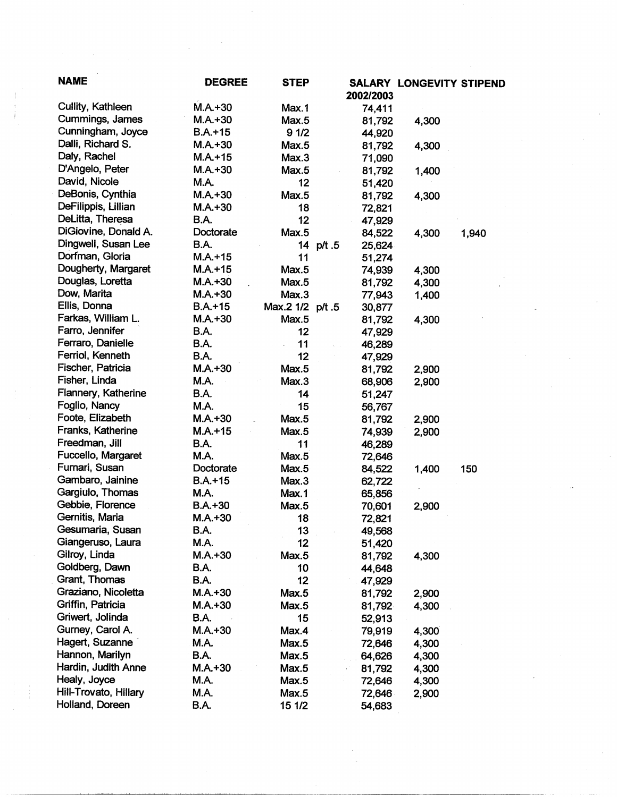| <b>NAME</b>           | <b>DEGREE</b> | <b>STEP</b>      | 2002/2003           | <b>SALARY LONGEVITY STIPEND</b> |       |
|-----------------------|---------------|------------------|---------------------|---------------------------------|-------|
| Cullity, Kathleen     | $M.A.+30$     | Max.1            | 74,411              |                                 |       |
| Cummings, James       | $M.A.+30$     | Max.5            | 81,792              | 4,300                           |       |
| Cunningham, Joyce     | $B.A.+15$     | 91/2             | 44,920              |                                 |       |
| Dalli, Richard S.     | $M.A.+30$     | Max.5            | 81,792              | 4,300                           |       |
| Daly, Rachel          | $M.A.+15$     | Max.3            | 71,090              |                                 |       |
| D'Angelo, Peter       | $M.A. + 30$   | Max.5            | 81,792              | 1,400                           |       |
| David, Nicole         | M.A.          | 12               | 51,420              |                                 |       |
| DeBonis, Cynthia      | $M.A.+30$     | Max.5            | 81,792              | 4,300                           |       |
| DeFilippis, Lillian   | $M.A.+30$     | 18               | 72,821              |                                 |       |
| DeLitta, Theresa      | B.A.          | 12               | 47,929              |                                 |       |
| DiGiovine, Donald A.  | Doctorate     | Max.5            | 84,522              | 4,300                           | 1,940 |
| Dingwell, Susan Lee   | <b>B.A.</b>   |                  | 14 p/t .5<br>25,624 |                                 |       |
| Dorfman, Gloria       | $M.A.+15$     | 11               | 51,274              |                                 |       |
| Dougherty, Margaret   | $M.A. + 15$   | Max.5            | 74,939              | 4,300                           |       |
| Douglas, Loretta      | $M.A. +30$    | Max.5            | 81,792              | 4,300                           |       |
| Dow, Marita           | $M.A.+30$     | Max.3            | 77,943              | 1,400                           |       |
| Ellis, Donna          | $B.A.+15$     | Max.2 1/2 p/t .5 | 30,877              |                                 |       |
| Farkas, William L.    | $M.A. + 30$   | Max.5            | 81,792              | 4,300                           |       |
| Farro, Jennifer       | <b>B.A.</b>   | 12               | 47,929              |                                 |       |
| Ferraro, Danielle     | <b>B.A.</b>   | 11               | 46,289              |                                 |       |
| Ferriol, Kenneth      | B.A.          | 12               | 47,929              |                                 |       |
| Fischer, Patricia     | $M.A.+30$     | Max.5            | 81,792              | 2,900                           |       |
| Fisher, Linda         | M.A.          | Max.3            | 68,906              | 2,900                           |       |
| Flannery, Katherine   | B.A.          | 14               | 51,247              |                                 |       |
| Foglio, Nancy         | M.A.          | 15               | 56,767              |                                 |       |
| Foote, Elizabeth      | $M.A. + 30$   | Max.5            | 81,792              | 2,900                           |       |
| Franks, Katherine     | $M.A.+15$     | Max.5            | 74,939              | 2,900                           |       |
| Freedman, Jill        | <b>B.A.</b>   | 11               | 46,289              |                                 |       |
| Fuccello, Margaret    | <b>M.A.</b>   | Max.5            | 72,646              |                                 |       |
| Furnari, Susan        | Doctorate     | Max.5            | 84,522              | 1,400                           | 150   |
| Gambaro, Jainine      | $B.A.+15$     | Max.3            | 62,722              |                                 |       |
| Gargiulo, Thomas      | <b>M.A.</b>   | Max.1            | 65,856              |                                 |       |
| Gebbie, Florence      | $B.A.+30$     | Max.5            | 70,601              | 2,900                           |       |
| Gernitis, Maria       | $M.A. + 30$   | 18               | 72,821              |                                 |       |
| Gesumaria, Susan      | B.A.          |                  |                     |                                 |       |
| Giangeruso, Laura     | M.A.          | 13<br>12         | 49,568<br>51,420    |                                 |       |
| Gilroy, Linda         | $M.A. + 30$   | Max.5            | 81,792              | 4,300                           |       |
| Goldberg, Dawn        | B.A.          | 10               | 44,648              |                                 |       |
| Grant, Thomas         | B.A.          | 12               | 47,929              |                                 |       |
| Graziano, Nicoletta   | $M.A.+30$     | Max.5            | 81,792              | 2,900                           |       |
| Griffin, Patricia     | $M.A.+30$     | Max.5            | 81,792              | 4,300                           |       |
| Griwert, Jolinda      | <b>B.A.</b>   | 15               | 52,913              |                                 |       |
| Gurney, Carol A.      | $M.A. + 30$   | Max.4            |                     |                                 |       |
| Hagert, Suzanne       | M.A.          | Max.5            | 79,919              | 4,300<br>4,300                  |       |
| Hannon, Marilyn       |               |                  | 72,646              |                                 |       |
| Hardin, Judith Anne   | B.A.          | Max.5            | 64,626              | 4,300                           |       |
| Healy, Joyce          | $M.A.+30$     | Max.5            | 81,792              | 4,300                           |       |
|                       | M.A.          | Max.5            | 72,646              | 4,300                           |       |
| Hill-Trovato, Hillary | M.A.          | Max.5            | 72,646              | 2,900                           |       |
| Holland, Doreen       | B.A.          | 15 1/2           | 54,683              |                                 |       |

 $\label{eq:2} \frac{1}{\sqrt{2}}\left(\frac{1}{\sqrt{2}}\right)^{2} \frac{1}{\sqrt{2}}\left(\frac{1}{\sqrt{2}}\right)^{2}$ 

 $\label{eq:2} \frac{1}{2}\sum_{i=1}^n\frac{1}{2}\sum_{j=1}^n\frac{1}{2}\sum_{j=1}^n\frac{1}{2}\sum_{j=1}^n\frac{1}{2}\sum_{j=1}^n\frac{1}{2}\sum_{j=1}^n\frac{1}{2}\sum_{j=1}^n\frac{1}{2}\sum_{j=1}^n\frac{1}{2}\sum_{j=1}^n\frac{1}{2}\sum_{j=1}^n\frac{1}{2}\sum_{j=1}^n\frac{1}{2}\sum_{j=1}^n\frac{1}{2}\sum_{j=1}^n\frac{1}{2}\sum_{j=1}^n\frac{$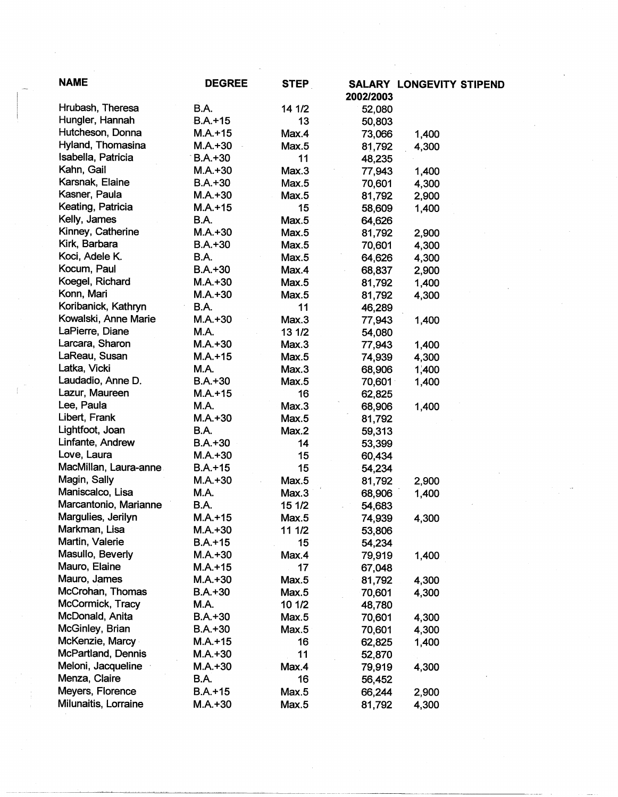| <b>NAME</b>           | <b>DEGREE</b> | <b>STEP</b> | 2002/2003 | <b>SALARY LONGEVITY STIPEND</b> |
|-----------------------|---------------|-------------|-----------|---------------------------------|
| Hrubash, Theresa      | <b>B.A.</b>   | 14 1/2      | 52,080    |                                 |
| Hungler, Hannah       | $B.A. + 15$   | 13          | 50,803    |                                 |
| Hutcheson, Donna      | $M.A.+15$     | Max.4       | 73,066    | 1,400                           |
| Hyland, Thomasina     | $M.A.+30$     | Max.5       | 81,792    | 4,300                           |
| Isabella, Patricia    | $B.A.+30$     | 11          | 48,235    |                                 |
| Kahn, Gail            | $M.A.+30$     | Max.3       | 77,943    | 1,400                           |
| Karsnak, Elaine       | $B.A.+30$     | Max.5       | 70,601    | 4,300                           |
| Kasner, Paula         | $M.A.+30$     | Max.5       | 81,792    | 2,900                           |
| Keating, Patricia     | $M.A. + 15$   | 15          | 58,609    | 1,400                           |
| Kelly, James          | <b>B.A.</b>   | Max.5       | 64,626    |                                 |
| Kinney, Catherine     | $M.A. + 30$   | Max.5       | 81,792    | 2,900                           |
| Kirk, Barbara         | $B.A.+30$     | Max.5       | 70,601    | 4,300                           |
| Koci, Adele K.        | <b>B.A.</b>   | Max.5       | 64,626    | 4,300                           |
| Kocum, Paul           | $B.A.+30$     | Max.4       | 68,837    | 2,900                           |
| Koegel, Richard       | $M.A.+30$     | Max.5       | 81,792    | 1,400                           |
| Konn, Mari            | $M.A.+30$     | Max.5       | 81,792    | 4,300                           |
| Koribanick, Kathryn   | B.A.          | 11          | 46,289    |                                 |
| Kowalski, Anne Marie  | $M.A.+30$     | Max.3       | 77,943    | 1,400                           |
| LaPierre, Diane       | M.A.          | 13 1/2      | 54,080    |                                 |
| Larcara, Sharon       | $M.A.+30$     | Max.3       | 77,943    | 1,400                           |
| LaReau, Susan         | $M.A. + 15$   | Max.5       | 74,939    | 4,300                           |
| Latka, Vicki          | M.A.          | Max.3       | 68,906    | 1,400                           |
| Laudadio, Anne D.     | $B.A.+30$     | Max.5       | 70,601    | 1,400                           |
| Lazur, Maureen        | $M.A. + 15$   | 16          | 62,825    |                                 |
| Lee, Paula            | M.A.          | Max.3       | 68,906    | 1,400                           |
| Libert, Frank         | $M.A. + 30$   | Max.5       | 81,792    |                                 |
| Lightfoot, Joan       | B.A.          | Max.2       | 59,313    |                                 |
| Linfante, Andrew      | $B.A.+30$     | 14          | 53,399    |                                 |
| Love, Laura           | $M.A. + 30$   | 15          | 60,434    |                                 |
| MacMillan, Laura-anne | $B.A.+15$     | 15          | 54,234    |                                 |
| Magin, Sally          | $M.A. + 30$   | Max.5       | 81,792    | 2,900                           |
| Maniscalco, Lisa      | M.A.          | Max.3       | 68,906    | 1,400                           |
| Marcantonio, Marianne | <b>B.A.</b>   | 15 1/2      | 54,683    |                                 |
| Margulies, Jerilyn    | $M.A. + 15$   | Max.5       | 74,939    | 4,300                           |
| Markman, Lisa         | $M.A.+30$     | 11 1/2      | 53,806    |                                 |
| Martin, Valerie       | $B.A. + 15$   | 15          | 54,234    |                                 |
| Masullo, Beverly      | $M.A. + 30$   | Max.4       | 79,919    | 1,400                           |
| Mauro, Elaine         | $M.A.+15$     | 17          | 67,048    |                                 |
| Mauro, James          | $M.A.+30$     | Max.5       | 81,792    | 4,300                           |
| McCrohan, Thomas      | $B.A.+30$     | Max.5       | 70,601    | 4,300                           |
| McCormick, Tracy      | <b>M.A.</b>   | 10 1/2      | 48,780    |                                 |
| McDonald, Anita       | $B.A.+30$     | Max.5       | 70,601    | 4,300                           |
| McGinley, Brian       | $B.A.+30$     | Max.5       | 70,601    |                                 |
| McKenzie, Marcy       | $M.A.+15$     | 16          | 62,825    | 4,300<br>1,400                  |
| McPartland, Dennis    | $M.A.+30$     | 11          |           |                                 |
| Meloni, Jacqueline    | $M.A.+30$     |             | 52,870    |                                 |
| Menza, Claire         | B.A.          | Max.4       | 79,919    | 4,300                           |
|                       |               | 16          | 56,452    |                                 |
| Meyers, Florence      | $B.A.+15$     | Max.5       | 66,244    | 2,900                           |
| Milunaitis, Lorraine  | $M.A.+30$     | Max.5       | 81,792    | 4,300                           |

-----~~---

 $\mathcal{L}^{\text{max}}_{\text{max}}$  ,  $\mathcal{L}^{\text{max}}_{\text{max}}$ 

 $\frac{1}{2}$ 

 $\sim$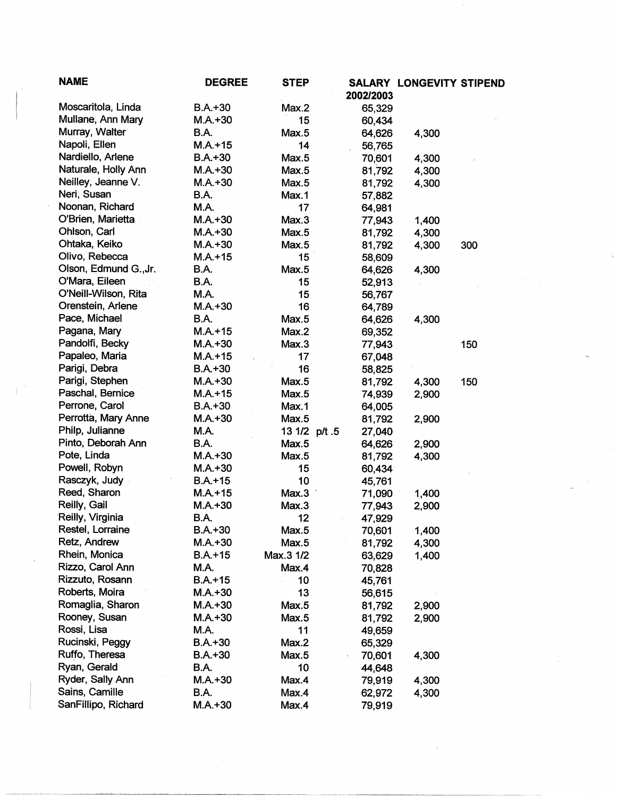| <b>NAME</b>           | <b>DEGREE</b> | <b>STEP</b>   | 2002/2003 | <b>SALARY LONGEVITY STIPEND</b> |     |  |
|-----------------------|---------------|---------------|-----------|---------------------------------|-----|--|
| Moscaritola, Linda    | $B.A.+30$     | Max.2         | 65,329    |                                 |     |  |
| Mullane, Ann Mary     | $M.A.+30$     | 15            | 60,434    |                                 |     |  |
| Murray, Walter        | B.A.          | Max.5         | 64,626    | 4,300                           |     |  |
| Napoli, Ellen         | $M.A. + 15$   | 14            | 56,765    |                                 |     |  |
| Nardiello, Arlene     | $B.A.+30$     | Max.5         | 70,601    | 4,300                           |     |  |
| Naturale, Holly Ann   | $M.A.+30$     | Max.5         | 81,792    | 4,300                           |     |  |
| Neilley, Jeanne V.    | $M.A. + 30$   | Max.5         | 81,792    | 4,300                           |     |  |
| Neri, Susan           | B.A.          | Max.1         | 57,882    |                                 |     |  |
| Noonan, Richard       | M.A.          | 17            | 64,981    |                                 |     |  |
| O'Brien, Marietta     | $M.A.+30$     | Max.3         | 77,943    | 1,400                           |     |  |
| Ohlson, Carl          | $M.A.+30$     | Max.5         | 81,792    | 4,300                           |     |  |
| Ohtaka, Keiko         | $M.A.+30$     | Max.5         | 81,792    | 4,300                           | 300 |  |
| Olivo, Rebecca        | $M.A. + 15$   | 15            | 58,609    |                                 |     |  |
| Olson, Edmund G., Jr. | B.A.          | Max.5         | 64,626    | 4,300                           |     |  |
| O'Mara, Eileen        | B.A.          | 15            | 52,913    |                                 |     |  |
| O'Neill-Wilson, Rita  | <b>M.A.</b>   | 15            | 56,767    |                                 |     |  |
| Orenstein, Arlene     | $M.A. + 30$   | 16            | 64,789    |                                 |     |  |
| Pace, Michael         | B.A.          | Max.5         | 64,626    | 4,300                           |     |  |
| Pagana, Mary          | $M.A. + 15$   | Max.2         | 69,352    |                                 |     |  |
| Pandolfi, Becky       | $M.A.+30$     | Max.3         | 77,943    |                                 | 150 |  |
| Papaleo, Maria        | $M.A.+15$     | 17            | 67,048    |                                 |     |  |
| Parigi, Debra         | $B.A.+30$     | 16            | 58,825    |                                 |     |  |
| Parigi, Stephen       | $M.A. + 30$   | Max.5         | 81,792    | 4,300                           | 150 |  |
| Paschal, Bernice      | $M.A. + 15$   | Max.5         | 74,939    | 2,900                           |     |  |
| Perrone, Carol        | $B.A.+30$     | Max.1         | 64,005    |                                 |     |  |
| Perrotta, Mary Anne   | $M.A.+30$     | Max.5         | 81,792    | 2,900                           |     |  |
| Philp, Julianne       | M.A.          | 13 1/2 p/t .5 | 27,040    |                                 |     |  |
| Pinto, Deborah Ann    | B.A.          | Max.5         | 64,626    | 2,900                           |     |  |
| Pote, Linda           | $M.A.+30$     | Max.5         | 81,792    | 4,300                           |     |  |
| Powell, Robyn         | $M.A.+30$     | 15            | 60,434    |                                 |     |  |
| Rasczyk, Judy         | $B.A. + 15$   | 10            | 45,761    |                                 |     |  |
| Reed, Sharon          | $M.A. + 15$   | Max.3         | 71,090    | 1,400                           |     |  |
| Reilly, Gail          | $M.A.+30$     | Max.3         | 77,943    | 2,900                           |     |  |
| Reilly, Virginia      | B.A.          | 12            | 47,929    |                                 |     |  |
| Restel, Lorraine      | $B.A.+30$     | Max.5         | 70,601    | 1,400                           |     |  |
| Retz, Andrew          | $M.A.+30$     | Max.5         | 81,792    | 4,300                           |     |  |
| Rhein, Monica         | $B.A. + 15$   | Max.3 1/2     | 63,629    | 1,400                           |     |  |
| Rizzo, Carol Ann      | M.A.          | Max.4         | 70,828    |                                 |     |  |
| Rizzuto, Rosann       | $B.A.+15$     | 10            | 45,761    |                                 |     |  |
| Roberts, Moira        | $M.A.+30$     | 13            | 56,615    |                                 |     |  |
| Romaglia, Sharon      | $M.A.+30$     | Max.5         | 81,792    | 2,900                           |     |  |
| Rooney, Susan         | $M.A. + 30$   | Max.5         | 81,792    | 2,900                           |     |  |
| Rossi, Lisa           | M.A.          | 11            | 49,659    |                                 |     |  |
| Rucinski, Peggy       | $B.A.+30$     | Max.2         | 65,329    |                                 |     |  |
| Ruffo, Theresa        | $B.A.+30$     | Max.5         | 70,601    | 4,300                           |     |  |
| Ryan, Gerald          | B.A.          | 10            | 44,648    |                                 |     |  |
| Ryder, Sally Ann      | $M.A. + 30$   | Max.4         | 79,919    | 4,300                           |     |  |
| Sains, Camille        | B.A.          | Max.4         | 62,972    | 4,300                           |     |  |
| SanFillipo, Richard   | $M.A.+30$     | Max.4         | 79,919    |                                 |     |  |

 $\pm$  (

 $\label{eq:2} \frac{1}{\sqrt{2}}\left(\frac{1}{\sqrt{2}}\right)^{2} \left(\frac{1}{\sqrt{2}}\right)^{2}$ 

 $\mathcal{A}_{\mathcal{A}}$